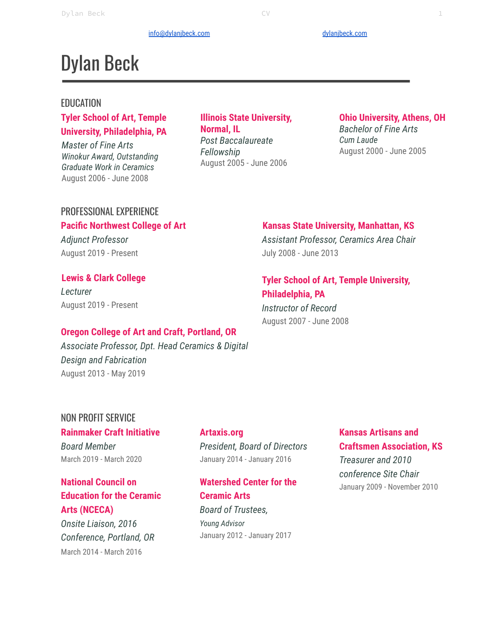#### [info@dylanjbeck.com](mailto:info@dylanjbeck.com) [dylanjbeck.com](https://www.dylanjbeck.com/) dylanjbeck.com

# Dylan Beck

#### EDUCATION

## **Tyler School of Art, Temple University, Philadelphia, PA**

*Master of Fine Arts Winokur Award, Outstanding Graduate Work in Ceramics* August 2006 - June 2008

#### **Illinois State University, Normal, IL** *Post Baccalaureate Fellowship* August 2005 - June 2006

# **Ohio University, Athens, OH**

*Bachelor of Fine Arts Cum Laude* August 2000 - June 2005

# PROFESSIONAL EXPERIENCE **Pacific Northwest College of Art**

*Adjunct Professor* August 2019 - Present

#### **Lewis & Clark College**

*Lecturer* August 2019 - Present

#### **Kansas State University, Manhattan, KS**

*Assistant Professor, Ceramics Area Chair* July 2008 - June 2013

## **Tyler School of Art, Temple University, Philadelphia, PA**

*Instructor of Record* August 2007 - June 2008

#### **Oregon College of Art and Craft, Portland, OR**

*Associate Professor, Dpt. Head Ceramics & Digital Design and Fabrication* August 2013 - May 2019

# NON PROFIT SERVICE

# **Rainmaker Craft Initiative**

*Board Member* March 2019 - March 2020

# **National Council on Education for the Ceramic Arts (NCECA)**

*Onsite Liaison, 2016 Conference, Portland, OR* March 2014 - March 2016

## **Artaxis.org** *President, Board of Directors* January 2014 - January 2016

**Watershed Center for the Ceramic Arts** *Board of Trustees, Young Advisor* January 2012 - January 2017

# **Kansas Artisans and Craftsmen Association, KS** *Treasurer and 2010 conference Site Chair* January 2009 - November 2010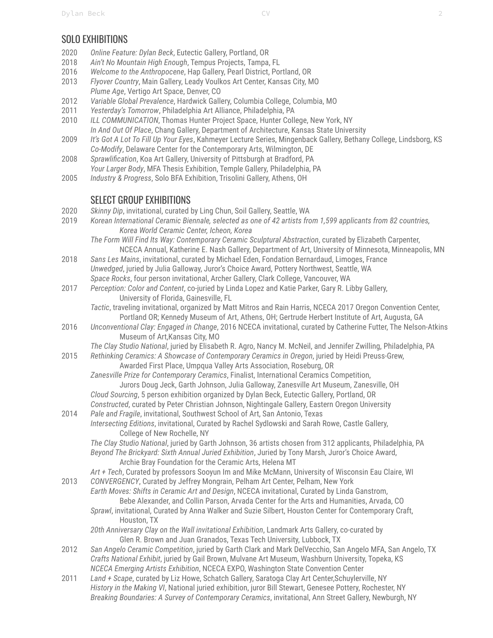# SOLO EXHIBITIONS

- 2020 *Online Feature: Dylan Beck*, Eutectic Gallery, Portland, OR
- 2018 *Ain't No Mountain High Enough*, Tempus Projects, Tampa, FL
- 2016 *Welcome to the Anthropocene*, Hap Gallery, Pearl District, Portland, OR
- 2013 *Flyover Country*, Main Gallery, Leady Voulkos Art Center, Kansas City, MO *Plume Age*, Vertigo Art Space, Denver, CO
- 2012 *Variable Global Prevalence*, Hardwick Gallery, Columbia College, Columbia, MO
- 2011 *Yesterday's Tomorrow*, Philadelphia Art Alliance, Philadelphia, PA
- 2010 *ILL COMMUNICATION*, Thomas Hunter Project Space, Hunter College, New York, NY
- *In And Out Of Place*, Chang Gallery, Department of Architecture, Kansas State University
- 2009 *It's Got A Lot To Fill Up Your Eyes*, Kahmeyer Lecture Series, Mingenback Gallery, Bethany College, Lindsborg, KS *Co-Modify*, Delaware Center for the Contemporary Arts, Wilmington, DE
- 2008 *Sprawlification*, Koa Art Gallery, University of Pittsburgh at Bradford, PA *Your Larger Body*, MFA Thesis Exhibition, Temple Gallery, Philadelphia, PA
- 2005 *Industry & Progress*, Solo BFA Exhibition, Trisolini Gallery, Athens, OH

# SELECT GROUP EXHIBITIONS

- 2020 *Skinny Dip*, invitational, curated by Ling Chun, Soil Gallery, Seattle, WA
- 2019 Korean International Ceramic Biennale, selected as one of 42 artists from 1,599 applicants from 82 countries, *Korea World Ceramic Center, Icheon, Korea*
	- *The Form Will Find Its Way: Contemporary Ceramic Sculptural Abstraction*, curated by Elizabeth Carpenter, NCECA Annual, Katherine E. Nash Gallery, Department of Art, University of Minnesota, Minneapolis, MN
- 2018 *Sans Les Mains*, invitational, curated by Michael Eden, Fondation Bernardaud, Limoges, France *Unwedged*, juried by Julia Galloway, Juror's Choice Award, Pottery Northwest, Seattle, WA *Space Rocks*, four person invitational, Archer Gallery, Clark College, Vancouver, WA
- 2017 *Perception: Color and Content*, co-juried by Linda Lopez and Katie Parker, Gary R. Libby Gallery, University of Florida, Gainesville, FL
	- *Tactic*, traveling invitational, organized by Matt Mitros and Rain Harris, NCECA 2017 Oregon Convention Center, Portland OR; Kennedy Museum of Art, Athens, OH; Gertrude Herbert Institute of Art, Augusta, GA
- 2016 *Unconventional Clay: Engaged in Change*, 2016 NCECA invitational, curated by Catherine Futter, The Nelson-Atkins Museum of Art,Kansas City, MO

*The Clay Studio National*, juried by Elisabeth R. Agro, Nancy M. McNeil, and Jennifer Zwilling, Philadelphia, PA

- 2015 *Rethinking Ceramics: A Showcase of Contemporary Ceramics in Oregon*, juried by Heidi Preuss-Grew, Awarded First Place, Umpqua Valley Arts Association, Roseburg, OR
	- *Zanesville Prize for Contemporary Ceramics*, Finalist, International Ceramics Competition, Jurors Doug Jeck, Garth Johnson, Julia Galloway, Zanesville Art Museum, Zanesville, OH
	- *Cloud Sourcing*, 5 person exhibition organized by Dylan Beck, Eutectic Gallery, Portland, OR *Constructed*, curated by Peter Christian Johnson, Nightingale Gallery, Eastern Oregon University
- 2014 *Pale and Fragile*, invitational, Southwest School of Art, San Antonio, Texas *Intersecting Editions*, invitational, Curated by Rachel Sydlowski and Sarah Rowe, Castle Gallery, College of New Rochelle, NY

*The Clay Studio National*, juried by Garth Johnson, 36 artists chosen from 312 applicants, Philadelphia, PA *Beyond The Brickyard: Sixth Annual Juried Exhibition*, Juried by Tony Marsh, Juror's Choice Award,

Archie Bray Foundation for the Ceramic Arts, Helena MT

*Art + Tech*, Curated by professors Sooyun Im and Mike McMann, University of Wisconsin Eau Claire, WI 2013 *CONVERGENCY*, Curated by Jeffrey Mongrain, Pelham Art Center, Pelham, New York

*Earth Moves: Shifts in Ceramic Art and Design*, NCECA invitational, Curated by Linda Ganstrom, Bebe Alexander, and Collin Parson, Arvada Center for the Arts and Humanities, Arvada, CO

*Sprawl*, invitational, Curated by Anna Walker and Suzie Silbert, Houston Center for Contemporary Craft, Houston, TX

*20th Anniversary Clay on the Wall invitational Exhibition*, Landmark Arts Gallery, co-curated by Glen R. Brown and Juan Granados, Texas Tech University, Lubbock, TX

- 2012 *San Angelo Ceramic Competition*, juried by Garth Clark and Mark DelVecchio, San Angelo MFA, San Angelo, TX *Crafts National Exhibit*, juried by Gail Brown, Mulvane Art Museum, Washburn University, Topeka, KS *NCECA Emerging Artists Exhibition*, NCECA EXPO, Washington State Convention Center
- 2011 *Land + Scape*, curated by Liz Howe, Schatch Gallery, Saratoga Clay Art Center,Schuylerville, NY *History in the Making VI*, National juried exhibition, juror Bill Stewart, Genesee Pottery, Rochester, NY *Breaking Boundaries: A Survey of Contemporary Ceramics*, invitational, Ann Street Gallery, Newburgh, NY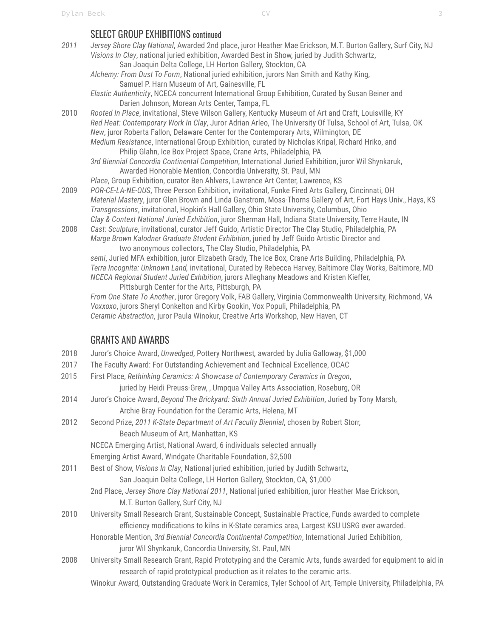# SELECT GROUP EXHIBITIONS continued

- *2011 Jersey Shore Clay National*, Awarded 2nd place, juror Heather Mae Erickson, M.T. Burton Gallery, Surf City, NJ *Visions In Clay*, national juried exhibition, Awarded Best in Show, juried by Judith Schwartz, San Joaquin Delta College, LH Horton Gallery, Stockton, CA *Alchemy: From Dust To Form*, National juried exhibition, jurors Nan Smith and Kathy King, Samuel P. Harn Museum of Art, Gainesville, FL *Elastic Authenticity*, NCECA concurrent International Group Exhibition, Curated by Susan Beiner and Darien Johnson, Morean Arts Center, Tampa, FL 2010 *Rooted In Place*, invitational, Steve Wilson Gallery, Kentucky Museum of Art and Craft, Louisville, KY *Red Heat: Contemporary Work In Clay*, Juror Adrian Arleo, The University Of Tulsa, School of Art, Tulsa, OK *New*, juror Roberta Fallon, Delaware Center for the Contemporary Arts, Wilmington, DE *Medium Resistance*, International Group Exhibition, curated by Nicholas Kripal, Richard Hriko, and Philip Glahn, Ice Box Project Space, Crane Arts, Philadelphia, PA *3rd Biennial Concordia Continental Competition*, International Juried Exhibition, juror Wil Shynkaruk, Awarded Honorable Mention, Concordia University, St. Paul, MN
- *Place*, Group Exhibition, curator Ben Ahlvers, Lawrence Art Center, Lawrence, KS 2009 *POR-CE-LA-NE-OUS*, Three Person Exhibition, invitational, Funke Fired Arts Gallery, Cincinnati, OH *Material Mastery*, juror Glen Brown and Linda Ganstrom, Moss-Thorns Gallery of Art, Fort Hays Univ., Hays, KS *Transgressions*, invitational, Hopkin's Hall Gallery, Ohio State University, Columbus, Ohio *Clay & Context National Juried Exhibition*, juror Sherman Hall, Indiana State University, Terre Haute, IN
- 2008 *Cast: Sculpture*, invitational, curator Jeff Guido, Artistic Director The Clay Studio, Philadelphia, PA *Marge Brown Kalodner Graduate Student Exhibition*, juried by Jeff Guido Artistic Director and

two anonymous collectors, The Clay Studio, Philadelphia, PA *semi*, Juried MFA exhibition, juror Elizabeth Grady, The Ice Box, Crane Arts Building, Philadelphia, PA *Terra Incognita: Unknown Land,* invitational, Curated by Rebecca Harvey, Baltimore Clay Works, Baltimore, MD *NCECA Regional Student Juried Exhibition*, jurors Alleghany Meadows and Kristen Kieffer, Pittsburgh Center for the Arts, Pittsburgh, PA

*From One State To Another*, juror Gregory Volk, FAB Gallery, Virginia Commonwealth University, Richmond, VA *Voxxoxo*, jurors Sheryl Conkelton and Kirby Gookin, Vox Populi, Philadelphia, PA *Ceramic Abstraction*, juror Paula Winokur, Creative Arts Workshop, New Haven, CT

# GRANTS AND AWARDS

- 2018 Juror's Choice Award, *Unwedged*, Pottery Northwest*,* awarded by Julia Galloway, \$1,000
- 2017 The Faculty Award: For Outstanding Achievement and Technical Excellence, OCAC
- 2015 First Place, *Rethinking Ceramics: A Showcase of Contemporary Ceramics in Oregon*,
	- juried by Heidi Preuss-Grew, , Umpqua Valley Arts Association, Roseburg, OR
- 2014 Juror's Choice Award, *Beyond The Brickyard: Sixth Annual Juried Exhibition*, Juried by Tony Marsh, Archie Bray Foundation for the Ceramic Arts, Helena, MT
- 2012 Second Prize, *2011 K-State Department of Art Faculty Biennial*, chosen by Robert Storr, Beach Museum of Art, Manhattan, KS

NCECA Emerging Artist, National Award, 6 individuals selected annually

Emerging Artist Award, Windgate Charitable Foundation, \$2,500

- 2011 Best of Show, *Visions In Clay*, National juried exhibition, juried by Judith Schwartz, San Joaquin Delta College, LH Horton Gallery, Stockton, CA, \$1,000
	- 2nd Place, *Jersey Shore Clay National 2011*, National juried exhibition, juror Heather Mae Erickson, M.T. Burton Gallery, Surf City, NJ
- 2010 University Small Research Grant, Sustainable Concept, Sustainable Practice, Funds awarded to complete efficiency modifications to kilns in K-State ceramics area, Largest KSU USRG ever awarded.

Honorable Mention, *3rd Biennial Concordia Continental Competition*, International Juried Exhibition, juror Wil Shynkaruk, Concordia University, St. Paul, MN

- 2008 University Small Research Grant, Rapid Prototyping and the Ceramic Arts, funds awarded for equipment to aid in research of rapid prototypical production as it relates to the ceramic arts.
	- Winokur Award, Outstanding Graduate Work in Ceramics, Tyler School of Art, Temple University, Philadelphia, PA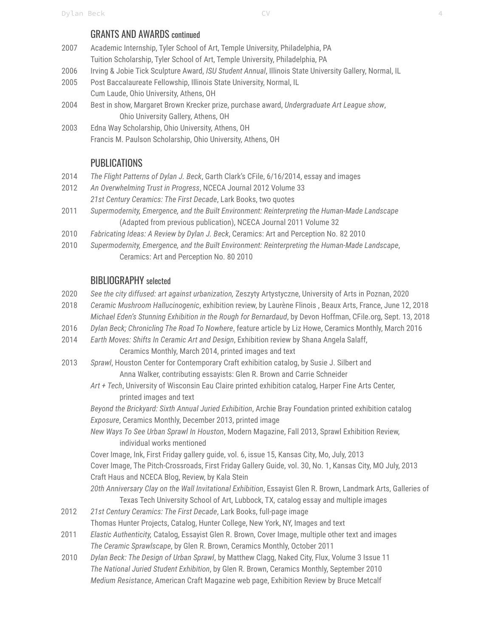#### GRANTS AND AWARDS continued

- 2007 Academic Internship, Tyler School of Art, Temple University, Philadelphia, PA Tuition Scholarship, Tyler School of Art, Temple University, Philadelphia, PA
- 2006 Irving & Jobie Tick Sculpture Award, *ISU Student Annual*, Illinois State University Gallery, Normal, IL
- 2005 Post Baccalaureate Fellowship, Illinois State University, Normal, IL Cum Laude, Ohio University, Athens, OH
- 2004 Best in show, Margaret Brown Krecker prize, purchase award, *Undergraduate Art League show*, Ohio University Gallery, Athens, OH
- 2003 Edna Way Scholarship, Ohio University, Athens, OH Francis M. Paulson Scholarship, Ohio University, Athens, OH

# **PUBLICATIONS**

- 2014 *The Flight Patterns of Dylan J. Beck*, Garth Clark's CFile, 6/16/2014, essay and images
- 2012 *An Overwhelming Trust in Progress*, NCECA Journal 2012 Volume 33 *21st Century Ceramics: The First Decade*, Lark Books, two quotes
- 2011 *Supermodernity, Emergence, and the Built Environment: Reinterpreting the Human-Made Landscape* (Adapted from previous publication), NCECA Journal 2011 Volume 32
- 2010 *Fabricating Ideas: A Review by Dylan J. Beck*, Ceramics: Art and Perception No. 82 2010
- 2010 *Supermodernity, Emergence, and the Built Environment: Reinterpreting the Human-Made Landscape*, Ceramics: Art and Perception No. 80 2010

# BIBLIOGRAPHY selected

- 2020 *See the city diffused: art against urbanization,* Zeszyty Artystyczne, University of Arts in Poznan, 2020
- 2018 *Ceramic Mushroom Hallucinogenic*, exhibition review, by Laurène Flinois , Beaux Arts, France, June 12, 2018
- *Michael Eden's Stunning Exhibition in the Rough for Bernardaud*, by Devon Hoffman, CFile.org, Sept. 13, 2018
- 2016 *Dylan Beck; Chronicling The Road To Nowhere*, feature article by Liz Howe, Ceramics Monthly, March 2016
- 2014 *Earth Moves: Shifts In Ceramic Art and Design*, Exhibition review by Shana Angela Salaff,

Ceramics Monthly, March 2014, printed images and text

- 2013 *Sprawl*, Houston Center for Contemporary Craft exhibition catalog, by Susie J. Silbert and Anna Walker, contributing essayists: Glen R. Brown and Carrie Schneider
	- *Art + Tech*, University of Wisconsin Eau Claire printed exhibition catalog, Harper Fine Arts Center, printed images and text

*Beyond the Brickyard: Sixth Annual Juried Exhibition*, Archie Bray Foundation printed exhibition catalog *Exposure*, Ceramics Monthly, December 2013, printed image

*New Ways To See Urban Sprawl In Houston*, Modern Magazine, Fall 2013, Sprawl Exhibition Review, individual works mentioned

Cover Image, Ink, First Friday gallery guide, vol. 6, issue 15, Kansas City, Mo, July, 2013

Cover Image, The Pitch-Crossroads, First Friday Gallery Guide, vol. 30, No. 1, Kansas City, MO July, 2013 Craft Haus and NCECA Blog, Review, by Kala Stein

*20th Anniversary Clay on the Wall Invitational Exhibition*, Essayist Glen R. Brown, Landmark Arts, Galleries of Texas Tech University School of Art, Lubbock, TX, catalog essay and multiple images

- 2012 *21st Century Ceramics: The First Decade*, Lark Books, full-page image Thomas Hunter Projects, Catalog, Hunter College, New York, NY, Images and text
- 2011 *Elastic Authenticity,* Catalog, Essayist Glen R. Brown, Cover Image, multiple other text and images *The Ceramic Sprawlscape*, by Glen R. Brown, Ceramics Monthly, October 2011
- 2010 *Dylan Beck: The Design of Urban Sprawl*, by Matthew Clagg, Naked City, Flux, Volume 3 Issue 11 *The National Juried Student Exhibition*, by Glen R. Brown, Ceramics Monthly, September 2010 *Medium Resistance*, American Craft Magazine web page, Exhibition Review by Bruce Metcalf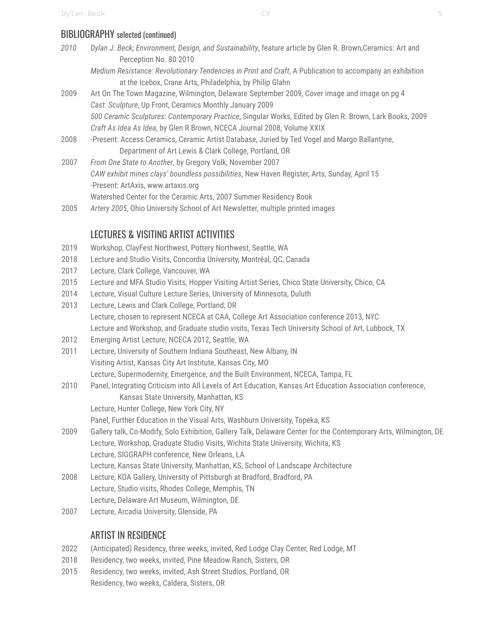# BIBLIOGRAPHY selected (continued)

- *2010 Dylan J. Beck; Environment, Design, and Sustainability*, feature article by Glen R. Brown,Ceramics: Art and Perception No. 80 2010
	- *Medium Resistance: Revolutionary Tendencies in Print and Craft*, A Publication to accompany an exhibition at the Icebox, Crane Arts, Philadelphia, by Philip Glahn
- 2009 Art On The Town Magazine, Wilmington, Delaware September 2009, Cover image and image on pg 4 *Cast: Sculpture*, Up Front, Ceramics Monthly January 2009 *500 Ceramic Sculptures: Contemporary Practice*, Singular Works, Edited by Glen R. Brown, Lark Books, 2009 *Craft As Idea As Idea*, by Glen R Brown, NCECA Journal 2008, Volume XXIX
- 2008 -Present: Access Ceramics, Ceramic Artist Database, Juried by Ted Vogel and Margo Ballantyne, Department of Art Lewis & Clark College, Portland, OR
- 2007 *From One State to Another*, by Gregory Volk, November 2007 *CAW exhibit mines clays' boundless possibilities*, New Haven Register, Arts, Sunday, April 15 -Present: ArtAxis, www.artaxis.org Watershed Center for the Ceramic Arts, 2007 Summer Residency Book
- 2005 *Artery 2005*, Ohio University School of Art Newsletter, multiple printed images

# LECTURES & VISITING ARTIST ACTIVITIES

- 2019 Workshop, ClayFest Northwest, Pottery Northwest, Seattle, WA
- 2018 Lecture and Studio Visits, Concordia University, Montréal, QC, Canada
- 2017 Lecture, Clark College, Vancouver, WA
- 2015 Lecture and MFA Studio Visits, Hopper Visiting Artist Series, Chico State University, Chico, CA
- 2014 Lecture, Visual Culture Lecture Series, University of Minnesota, Duluth
- 2013 Lecture, Lewis and Clark College, Portland, OR Lecture, chosen to represent NCECA at CAA, College Art Association conference 2013, NYC Lecture and Workshop, and Graduate studio visits, Texas Tech University School of Art, Lubbock, TX
- 2012 Emerging Artist Lecture, NCECA 2012, Seattle, WA
- 2011 Lecture, University of Southern Indiana Southeast, New Albany, IN Visiting Artist, Kansas City Art Institute, Kansas City, MO Lecture, Supermodernity, Emergence, and the Built Environment, NCECA, Tampa, FL
- 2010 Panel, Integrating Criticism into All Levels of Art Education, Kansas Art Education Association conference, Kansas State University, Manhattan, KS Lecture, Hunter College, New York City, NY
	- Panel, Further Education in the Visual Arts, Washburn University, Topeka, KS
- 2009 Gallery talk, Co-Modify, Solo Exhibition, Gallery Talk, Delaware Center for the Contemporary Arts, Wilmington, DE Lecture, Workshop, Graduate Studio Visits, Wichita State University, Wichita, KS Lecture, SIGGRAPH conference, New Orleans, LA Lecture, Kansas State University, Manhattan, KS, School of Landscape Architecture
- 2008 Lecture, KOA Gallery, University of Pittsburgh at Bradford, Bradford, PA Lecture, Studio visits, Rhodes College, Memphis, TN Lecture, Delaware Art Museum, Wilmington, DE
- 2007 Lecture, Arcadia University, Glenside, PA

# ARTIST IN RESIDENCE

- 2022 (Anticipated) Residency, three weeks, invited, Red Lodge Clay Center, Red Lodge, MT
- 2018 Residency, two weeks, invited, Pine Meadow Ranch, Sisters, OR
- 2015 Residency, two weeks, invited, Ash Street Studios, Portland, OR Residency, two weeks, Caldera, Sisters, OR